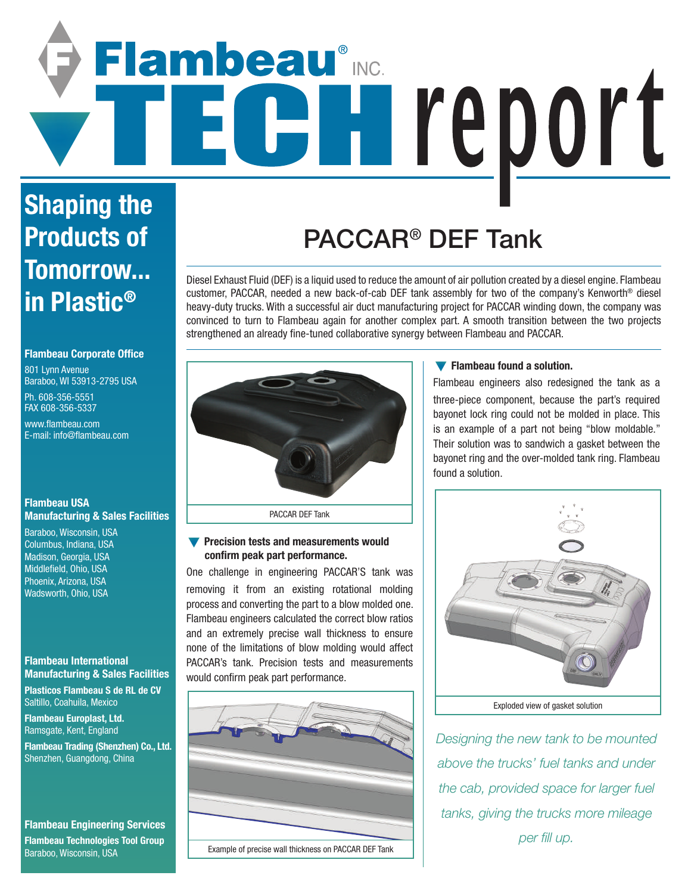# Flambeau® CH report

### **Shaping the Products of Tomorrow... in Plastic®**

#### **Flambeau Corporate Office**

801 Lynn Avenue Baraboo, WI 53913-2795 USA

Ph. 608-356-5551 FAX 608-356-5337

www.flambeau.com E-mail: info@flambeau.com

#### **Flambeau USA Manufacturing & Sales Facilities**

Baraboo, Wisconsin, USA Columbus, Indiana, USA Madison, Georgia, USA Middlefield, Ohio, USA Phoenix, Arizona, USA Wadsworth, Ohio, USA

#### **Flambeau International Manufacturing & Sales Facilities**

**Plasticos Flambeau S de RL de CV** Saltillo, Coahuila, Mexico

**Flambeau Europlast, Ltd.** Ramsgate, Kent, England

**Flambeau Trading (Shenzhen) Co., Ltd.** Shenzhen, Guangdong, China

#### **Flambeau Engineering Services**

**Flambeau Technologies Tool Group** Baraboo, Wisconsin, USA

## PACCAR® DEF Tank

Diesel Exhaust Fluid (DEF) is a liquid used to reduce the amount of air pollution created by a diesel engine. Flambeau customer, PACCAR, needed a new back-of-cab DEF tank assembly for two of the company's Kenworth® diesel heavy-duty trucks. With a successful air duct manufacturing project for PACCAR winding down, the company was convinced to turn to Flambeau again for another complex part. A smooth transition between the two projects strengthened an already fine-tuned collaborative synergy between Flambeau and PACCAR.



#### **• Precision tests and measurements would confirm peak part performance.**

One challenge in engineering PACCAR'S tank was removing it from an existing rotational molding process and converting the part to a blow molded one. Flambeau engineers calculated the correct blow ratios and an extremely precise wall thickness to ensure none of the limitations of blow molding would affect PACCAR's tank. Precision tests and measurements would confirm peak part performance.



Example of precise wall thickness on PACCAR DEF Tank

#### **Flambeau found a solution.**

Flambeau engineers also redesigned the tank as a three-piece component, because the part's required bayonet lock ring could not be molded in place. This is an example of a part not being "blow moldable." Their solution was to sandwich a gasket between the bayonet ring and the over-molded tank ring. Flambeau found a solution.



*Designing the new tank to be mounted above the trucks' fuel tanks and under the cab, provided space for larger fuel tanks, giving the trucks more mileage per fill up.*